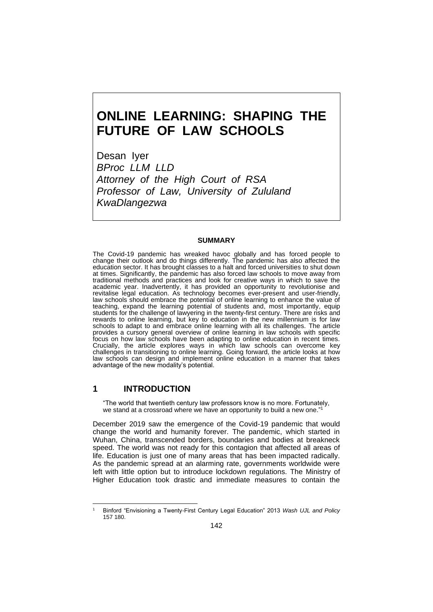# **ONLINE LEARNING: SHAPING THE FUTURE OF LAW SCHOOLS**

Desan Iyer *BProc LLM LLD Attorney of the High Court of RSA Professor of Law, University of Zululand KwaDlangezwa*

#### **SUMMARY**

The Covid-19 pandemic has wreaked havoc globally and has forced people to change their outlook and do things differently. The pandemic has also affected the education sector. It has brought classes to a halt and forced universities to shut down at times. Significantly, the pandemic has also forced law schools to move away from traditional methods and practices and look for creative ways in which to save the academic year. Inadvertently, it has provided an opportunity to revolutionise and revitalise legal education. As technology becomes ever-present and user-friendly, law schools should embrace the potential of online learning to enhance the value of teaching, expand the learning potential of students and, most importantly, equip students for the challenge of lawyering in the twenty-first century. There are risks and rewards to online learning, but key to education in the new millennium is for law schools to adapt to and embrace online learning with all its challenges. The article provides a cursory general overview of online learning in law schools with specific focus on how law schools have been adapting to online education in recent times. Crucially, the article explores ways in which law schools can overcome key challenges in transitioning to online learning. Going forward, the article looks at how law schools can design and implement online education in a manner that takes advantage of the new modality's potential.

#### **1 INTRODUCTION**

"The world that twentieth century law professors know is no more. Fortunately, we stand at a crossroad where we have an opportunity to build a new one." 1

December 2019 saw the emergence of the Covid-19 pandemic that would change the world and humanity forever. The pandemic, which started in Wuhan, China, transcended borders, boundaries and bodies at breakneck speed. The world was not ready for this contagion that affected all areas of life. Education is just one of many areas that has been impacted radically. As the pandemic spread at an alarming rate, governments worldwide were left with little option but to introduce lockdown regulations. The Ministry of Higher Education took drastic and immediate measures to contain the

<sup>1</sup> Binford "Envisioning a Twenty-First Century Legal Education" 2013 *Wash UJL and Policy* 157 180.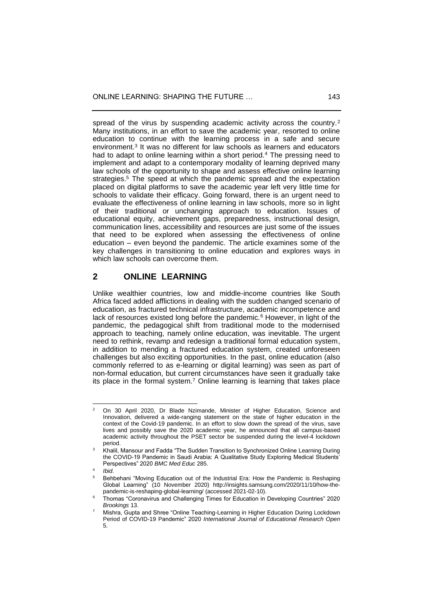spread of the virus by suspending academic activity across the country.<sup>2</sup> Many institutions, in an effort to save the academic year, resorted to online education to continue with the learning process in a safe and secure environment.<sup>3</sup> It was no different for law schools as learners and educators had to adapt to online learning within a short period.<sup>4</sup> The pressing need to implement and adapt to a contemporary modality of learning deprived many law schools of the opportunity to shape and assess effective online learning strategies.<sup>5</sup> The speed at which the pandemic spread and the expectation placed on digital platforms to save the academic year left very little time for schools to validate their efficacy. Going forward, there is an urgent need to evaluate the effectiveness of online learning in law schools, more so in light of their traditional or unchanging approach to education. Issues of educational equity, achievement gaps, preparedness, instructional design, communication lines, accessibility and resources are just some of the issues that need to be explored when assessing the effectiveness of online education – even beyond the pandemic. The article examines some of the key challenges in transitioning to online education and explores ways in which law schools can overcome them.

## **2 ONLINE LEARNING**

Unlike wealthier countries, low and middle-income countries like South Africa faced added afflictions in dealing with the sudden changed scenario of education, as fractured technical infrastructure, academic incompetence and lack of resources existed long before the pandemic.<sup>6</sup> However, in light of the pandemic, the pedagogical shift from traditional mode to the modernised approach to teaching, namely online education, was inevitable. The urgent need to rethink, revamp and redesign a traditional formal education system, in addition to mending a fractured education system, created unforeseen challenges but also exciting opportunities. In the past, online education (also commonly referred to as e-learning or digital learning) was seen as part of non-formal education, but current circumstances have seen it gradually take its place in the formal system.<sup>7</sup> Online learning is learning that takes place

4 *Ibid*.

<sup>&</sup>lt;sup>2</sup> On 30 April 2020, Dr Blade Nzimande, Minister of Higher Education, Science and Innovation, delivered a wide-ranging statement on the state of higher education in the context of the Covid-19 pandemic. In an effort to slow down the spread of the virus, save lives and possibly save the 2020 academic year, he announced that all campus-based academic activity throughout the PSET sector be suspended during the level-4 lockdown period.

<sup>&</sup>lt;sup>3</sup> Khalil, Mansour and Fadda "The Sudden Transition to Synchronized Online Learning During the COVID-19 Pandemic in Saudi Arabia: A Qualitative Study Exploring Medical Students' Perspectives" 2020 *BMC Med Educ* 285.

<sup>5</sup> Behbehani "Moving Education out of the Industrial Era: How the Pandemic is Reshaping Global Learning" (10 November 2020) [http://insights.samsung.com/2020/11/10/how-the](http://insights.samsung.com/2020/11/10/how-the-pandemic-is-reshaping-global-learning/)[pandemic-is-reshaping-global-learning/](http://insights.samsung.com/2020/11/10/how-the-pandemic-is-reshaping-global-learning/) (accessed 2021-02-10).

<sup>6</sup> Thomas "Coronavirus and Challenging Times for Education in Developing Countries" 2020 *Brookings* 13.

<sup>7</sup> Mishra, Gupta and Shree "Online Teaching-Learning in Higher Education During Lockdown Period of COVID-19 Pandemic" 2020 *International Journal of Educational Research Open*  5.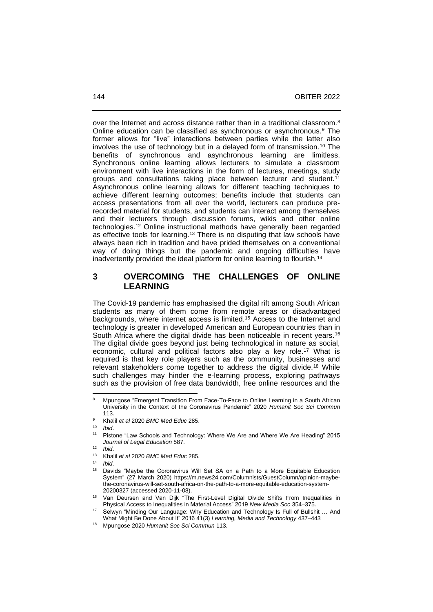over the Internet and across distance rather than in a traditional classroom.<sup>8</sup> Online education can be classified as synchronous or asynchronous.<sup>9</sup> The former allows for "live" interactions between parties while the latter also involves the use of technology but in a delayed form of transmission.<sup>10</sup> The benefits of synchronous and asynchronous learning are limitless. Synchronous online learning allows lecturers to simulate a classroom environment with live interactions in the form of lectures, meetings, study groups and consultations taking place between lecturer and student.<sup>11</sup> Asynchronous online learning allows for different teaching techniques to achieve different learning outcomes; benefits include that students can access presentations from all over the world, lecturers can produce prerecorded material for students, and students can interact among themselves and their lecturers through discussion forums, wikis and other online technologies.<sup>12</sup> Online instructional methods have generally been regarded as effective tools for learning.<sup>13</sup> There is no disputing that law schools have always been rich in tradition and have prided themselves on a conventional way of doing things but the pandemic and ongoing difficulties have inadvertently provided the ideal platform for online learning to flourish.<sup>14</sup>

# **3 OVERCOMING THE CHALLENGES OF ONLINE LEARNING**

The Covid-19 pandemic has emphasised the digital rift among South African students as many of them come from remote areas or disadvantaged backgrounds, where internet access is limited.<sup>15</sup> Access to the Internet and technology is greater in developed American and European countries than in South Africa where the digital divide has been noticeable in recent years.<sup>16</sup> The digital divide goes beyond just being technological in nature as social, economic, cultural and political factors also play a key role.<sup>17</sup> What is required is that key role players such as the community, businesses and relevant stakeholders come together to address the digital divide.<sup>18</sup> While such challenges may hinder the e-learning process, exploring pathways such as the provision of free data bandwidth, free online resources and the

<sup>&</sup>lt;sup>8</sup> Mpungose "Emergent Transition From Face-To-Face to Online Learning in a South African University in the Context of the Coronavirus Pandemic" 2020 *Humanit Soc Sci Commun* 113.

<sup>9</sup> Khalil *et al* 2020 *BMC Med Educ* 285.

<sup>10</sup> *Ibid*.

Pistone "Law Schools and Technology: Where We Are and Where We Are Heading" 2015 *Journal of Legal Education* 587.

<sup>12</sup> *Ibid*.

<sup>13</sup> Khalil *et al* 2020 *BMC Med Educ* 285.

<sup>14</sup> *Ibid*.

Davids "Maybe the Coronavirus Will Set SA on a Path to a More Equitable Education System" (27 March 2020) [https://m.news24.com/Columnists/GuestColumn/opinion-maybe](https://m.news24.com/Columnists/GuestColumn/opinion-maybe-the-coronavirus-will-set-south-africa-on-the-path-to-a-more-equitable-education-system-20200327)[the-coronavirus-will-set-south-africa-on-the-path-to-a-more-equitable-education-system-](https://m.news24.com/Columnists/GuestColumn/opinion-maybe-the-coronavirus-will-set-south-africa-on-the-path-to-a-more-equitable-education-system-20200327)[20200327](https://m.news24.com/Columnists/GuestColumn/opinion-maybe-the-coronavirus-will-set-south-africa-on-the-path-to-a-more-equitable-education-system-20200327) (accessed 2020-11-08).

<sup>16</sup> Van Deursen and Van Dijk "The First-Level Digital Divide Shifts From Inequalities in Physical Access to Inequalities in Material Access" 2019 *New Media Soc* 354‒375.

Selwyn "Minding Our Language: Why Education and Technology Is Full of Bullshit ... And What Might Be Done About It" 2016 41(3) Learning, Media and Technology 437-443

<sup>18</sup> Mpungose 2020 *Humanit Soc Sci Commun* 113.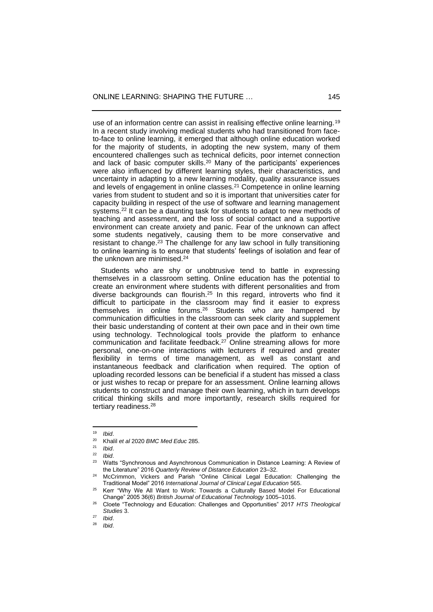use of an information centre can assist in realising effective online learning.<sup>19</sup> In a recent study involving medical students who had transitioned from faceto-face to online learning, it emerged that although online education worked for the majority of students, in adopting the new system, many of them encountered challenges such as technical deficits, poor internet connection and lack of basic computer skills. <sup>20</sup> Many of the participants' experiences were also influenced by different learning styles, their characteristics, and uncertainty in adapting to a new learning modality, quality assurance issues and levels of engagement in online classes.<sup>21</sup> Competence in online learning varies from student to student and so it is important that universities cater for capacity building in respect of the use of software and learning management systems.<sup>22</sup> It can be a daunting task for students to adapt to new methods of teaching and assessment, and the loss of social contact and a supportive environment can create anxiety and panic. Fear of the unknown can affect some students negatively, causing them to be more conservative and resistant to change.<sup>23</sup> The challenge for any law school in fully transitioning to online learning is to ensure that students' feelings of isolation and fear of the unknown are minimised.<sup>24</sup>

 Students who are shy or unobtrusive tend to battle in expressing themselves in a classroom setting. Online education has the potential to create an environment where students with different personalities and from diverse backgrounds can flourish.<sup>25</sup> In this regard, introverts who find it difficult to participate in the classroom may find it easier to express themselves in online forums.<sup>26</sup> Students who are hampered by communication difficulties in the classroom can seek clarity and supplement their basic understanding of content at their own pace and in their own time using technology. Technological tools provide the platform to enhance communication and facilitate feedback.<sup>27</sup> Online streaming allows for more personal, one-on-one interactions with lecturers if required and greater flexibility in terms of time management, as well as constant and instantaneous feedback and clarification when required. The option of uploading recorded lessons can be beneficial if a student has missed a class or just wishes to recap or prepare for an assessment. Online learning allows students to construct and manage their own learning, which in turn develops critical thinking skills and more importantly, research skills required for tertiary readiness.<sup>28</sup>

<sup>19</sup> *Ibid*.

<sup>20</sup> Khalil *et al* 2020 *BMC Med Educ* 285.

 $\frac{21}{22}$  *Ibid.* 

<sup>22</sup> *Ibid*.

Watts "Synchronous and Asynchronous Communication in Distance Learning: A Review of the Literature" 2016 *Quarterly Review of Distance Education* 23‒32.

McCrimmon, Vickers and Parish "Online Clinical Legal Education: Challenging the Traditional Model" 2016 *International Journal of Clinical Legal Education* 565.

<sup>&</sup>lt;sup>25</sup> Kerr "Why We All Want to Work: Towards a Culturally Based Model For Educational Change" 2005 36(6) British Journal of Educational Technology 1005-1016.

<sup>26</sup> Cloete "Technology and Education: Challenges and Opportunities" 2017 *HTS Theological Studies* 3.

 $\frac{27}{28}$  *Ibid.* 

<sup>28</sup> *Ibid*.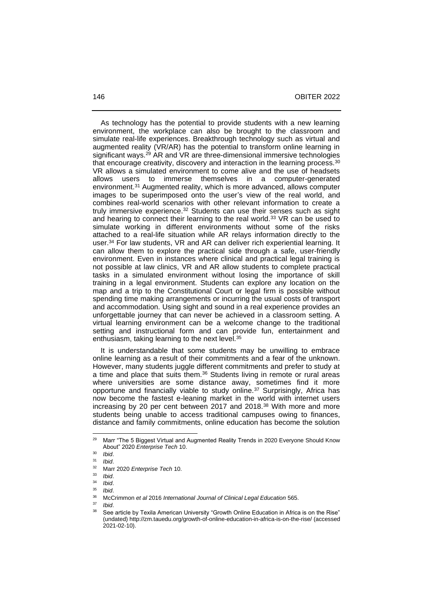As technology has the potential to provide students with a new learning environment, the workplace can also be brought to the classroom and simulate real-life experiences. Breakthrough technology such as virtual and augmented reality (VR/AR) has the potential to transform online learning in significant ways.<sup>29</sup> AR and VR are three-dimensional immersive technologies that encourage creativity, discovery and interaction in the learning process.<sup>30</sup> VR allows a simulated environment to come alive and the use of headsets allows users to immerse themselves in a computer-generated environment.<sup>31</sup> Augmented reality, which is more advanced, allows computer images to be superimposed onto the user's view of the real world, and combines real-world scenarios with other relevant information to create a truly immersive experience.<sup>32</sup> Students can use their senses such as sight and hearing to connect their learning to the real world.<sup>33</sup> VR can be used to simulate working in different environments without some of the risks attached to a real-life situation while AR relays information directly to the user.<sup>34</sup> For law students, VR and AR can deliver rich experiential learning. It can allow them to explore the practical side through a safe, user-friendly environment. Even in instances where clinical and practical legal training is not possible at law clinics, VR and AR allow students to complete practical tasks in a simulated environment without losing the importance of skill training in a legal environment. Students can explore any location on the map and a trip to the Constitutional Court or legal firm is possible without spending time making arrangements or incurring the usual costs of transport and accommodation. Using sight and sound in a real experience provides an unforgettable journey that can never be achieved in a classroom setting. A virtual learning environment can be a welcome change to the traditional setting and instructional form and can provide fun, entertainment and enthusiasm, taking learning to the next level.<sup>35</sup>

 It is understandable that some students may be unwilling to embrace online learning as a result of their commitments and a fear of the unknown. However, many students juggle different commitments and prefer to study at a time and place that suits them.<sup>36</sup> Students living in remote or rural areas where universities are some distance away, sometimes find it more opportune and financially viable to study online.<sup>37</sup> Surprisingly, Africa has now become the fastest e-leaning market in the world with internet users increasing by 20 per cent between 2017 and 2018.<sup>38</sup> With more and more students being unable to access traditional campuses owing to finances, distance and family commitments, online education has become the solution

<sup>&</sup>lt;sup>29</sup> Marr "The 5 Biggest Virtual and Augmented Reality Trends in 2020 Everyone Should Know About" 2020 *Enterprise Tech* 10.

<sup>30</sup> *Ibid*.

<sup>31</sup> *Ibid*.

<sup>32</sup> Marr 2020 *Enterprise Tech* 10.

 $\frac{33}{34}$  *Ibid.* 

<sup>34</sup> *Ibid*.

<sup>35</sup> *Ibid*.

<sup>36</sup> McCrimmon *et al* 2016 *International Journal of Clinical Legal Education* 565.

 $\frac{37}{38}$  *Ibid.* 

See article by Texila American University "Growth Online Education in Africa is on the Rise" (undated)<http://zm.tauedu.org/growth-of-online-education-in-africa-is-on-the-rise/> (accessed 2021-02-10).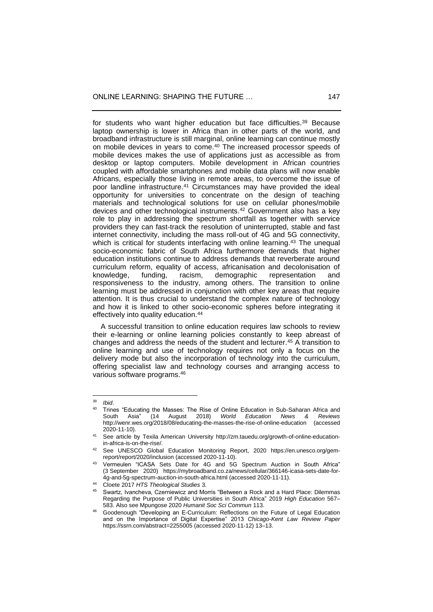for students who want higher education but face difficulties.<sup>39</sup> Because laptop ownership is lower in Africa than in other parts of the world, and broadband infrastructure is still marginal, online learning can continue mostly on mobile devices in years to come.<sup>40</sup> The increased processor speeds of mobile devices makes the use of applications just as accessible as from desktop or laptop computers. Mobile development in African countries coupled with affordable smartphones and mobile data plans will now enable Africans, especially those living in remote areas, to overcome the issue of poor landline infrastructure.<sup>41</sup> Circumstances may have provided the ideal opportunity for universities to concentrate on the design of teaching materials and technological solutions for use on cellular phones/mobile devices and other technological instruments.<sup>42</sup> Government also has a key role to play in addressing the spectrum shortfall as together with service providers they can fast-track the resolution of uninterrupted, stable and fast internet connectivity, including the mass roll-out of 4G and 5G connectivity, which is critical for students interfacing with online learning.<sup>43</sup> The unequal socio-economic fabric of South Africa furthermore demands that higher education institutions continue to address demands that reverberate around curriculum reform, equality of access, africanisation and decolonisation of knowledge, funding, racism, demographic representation and responsiveness to the industry, among others. The transition to online learning must be addressed in conjunction with other key areas that require attention. It is thus crucial to understand the complex nature of technology and how it is linked to other socio-economic spheres before integrating it effectively into quality education.<sup>44</sup>

 A successful transition to online education requires law schools to review their e-learning or online learning policies constantly to keep abreast of changes and address the needs of the student and lecturer.<sup>45</sup> A transition to online learning and use of technology requires not only a focus on the delivery mode but also the incorporation of technology into the curriculum, offering specialist law and technology courses and arranging access to various software programs.<sup>46</sup>

<sup>39</sup> *Ibid*.

Trines "Educating the Masses: The Rise of Online Education in Sub-Saharan Africa and<br>South Asia" (14 August 2018) World Education News & Reviews South Asia" (14 August 2018) *World Education News &* <http://wenr.wes.org/2018/08/educating-the-masses-the-rise-of-online-education> (accessed 2020-11-10).

<sup>41</sup> See article by Texila American University [http://zm.tauedu.org/growth-of-online-education](http://zm.tauedu.org/growth-of-online-education-in-africa-is-on-the-rise/)[in-africa-is-on-the-rise/.](http://zm.tauedu.org/growth-of-online-education-in-africa-is-on-the-rise/)

See UNESCO Global Education Monitoring Report, 2020 [https://en.unesco.org/gem](https://en.unesco.org/gem-report/report/2020/inclusion)[report/report/2020/inclusion](https://en.unesco.org/gem-report/report/2020/inclusion) (accessed 2020-11-10).

Vermeulen "ICASA Sets Date for 4G and 5G Spectrum Auction in South Africa" (3 September 2020) [https://mybroadband.co.za/news/cellular/366146-icasa-sets-date-for-](https://mybroadband.co.za/news/cellular/366146-icasa-sets-date-for-4g-and-5g-spectrum-auction-in-south-africa.html)[4g-and-5g-spectrum-auction-in-south-africa.html](https://mybroadband.co.za/news/cellular/366146-icasa-sets-date-for-4g-and-5g-spectrum-auction-in-south-africa.html) (accessed 2020-11-11).

<sup>44</sup> Cloete 2017 *HTS Theological Studies* 3.

<sup>45</sup> Swartz, Ivancheva, Czerniewicz and Morris "Between a Rock and a Hard Place: Dilemmas Regarding the Purpose of Public Universities in South Africa" 2019 *High Education* 567– 583. Also see Mpungose 2020 *Humanit Soc Sci Commun* 113.

<sup>46</sup> Goodenough "Developing an E-Curriculum: Reflections on the Future of Legal Education and on the Importance of Digital Expertise" 2013 *Chicago-Kent Law Review Paper* <https://ssrn.com/abstract=2255005> (accessed 2020-11-12) 13‒13.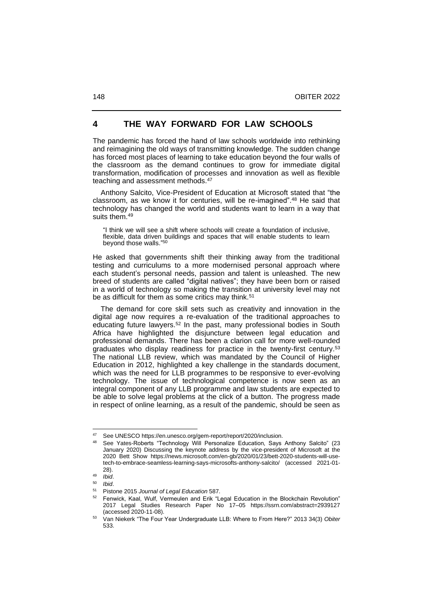# **4 THE WAY FORWARD FOR LAW SCHOOLS**

The pandemic has forced the hand of law schools worldwide into rethinking and reimagining the old ways of transmitting knowledge. The sudden change has forced most places of learning to take education beyond the four walls of the classroom as the demand continues to grow for immediate digital transformation, modification of processes and innovation as well as flexible teaching and assessment methods.<sup>47</sup>

 Anthony Salcito, Vice-President of Education at Microsoft stated that "the classroom, as we know it for centuries, will be re-imagined".<sup>48</sup> He said that technology has changed the world and students want to learn in a way that suits them.<sup>49</sup>

"I think we will see a shift where schools will create a foundation of inclusive, flexible, data driven buildings and spaces that will enable students to learn beyond those walls." 50

He asked that governments shift their thinking away from the traditional testing and curriculums to a more modernised personal approach where each student's personal needs, passion and talent is unleashed. The new breed of students are called "digital natives"; they have been born or raised in a world of technology so making the transition at university level may not be as difficult for them as some critics may think.<sup>51</sup>

 The demand for core skill sets such as creativity and innovation in the digital age now requires a re-evaluation of the traditional approaches to educating future lawyers.<sup>52</sup> In the past, many professional bodies in South Africa have highlighted the disjuncture between legal education and professional demands. There has been a clarion call for more well-rounded graduates who display readiness for practice in the twenty-first century.<sup>53</sup> The national LLB review, which was mandated by the Council of Higher Education in 2012, highlighted a key challenge in the standards document, which was the need for LLB programmes to be responsive to ever-evolving technology. The issue of technological competence is now seen as an integral component of any LLB programme and law students are expected to be able to solve legal problems at the click of a button. The progress made in respect of online learning, as a result of the pandemic, should be seen as

See UNESC[O https://en.unesco.org/gem-report/report/2020/inclusion.](https://en.unesco.org/gem-report/report/2020/inclusion)

See Yates-Roberts "Technology Will Personalize Education, Says Anthony Salcito" (23 January 2020) Discussing the keynote address by the vice-president of Microsoft at the 2020 Bett Show [https://news.microsoft.com/en-gb/2020/01/23/bett-2020-students-will-use](https://news.microsoft.com/en-gb/2020/01/23/bett-2020-students-will-use-tech-to-embrace-seamless-learning-says-microsofts-anthony-salcito/)[tech-to-embrace-seamless-learning-says-microsofts-anthony-salcito/](https://news.microsoft.com/en-gb/2020/01/23/bett-2020-students-will-use-tech-to-embrace-seamless-learning-says-microsofts-anthony-salcito/) (accessed 2021-01- 28).

 $^{49}$  *Ibid.*<br> $^{50}$  *Ibid.* 

<sup>50</sup> *Ibid*.

<sup>51</sup> Pistone 2015 *Journal of Legal Education* 587.

 $52$  Fenwick, Kaal, Wulf, Vermeulen and Erik "Legal Education in the Blockchain Revolution" 2017 Legal Studies Research Paper No 17‒05 <https://ssrn.com/abstract=2939127> (accessed 2020-11-08).

<sup>53</sup> Van Niekerk "The Four Year Undergraduate LLB: Where to From Here?" 2013 34(3) *Obiter* 533.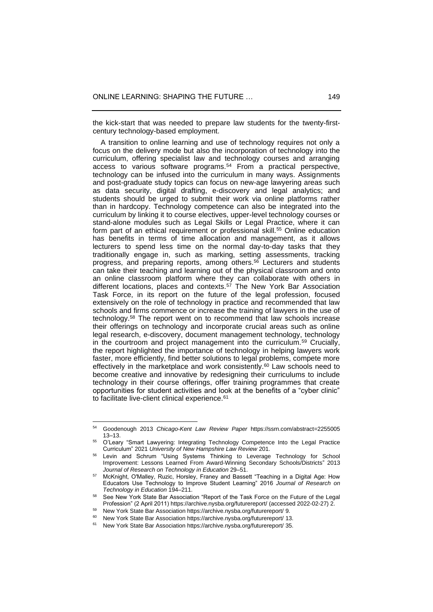the kick-start that was needed to prepare law students for the twenty-firstcentury technology-based employment.

 A transition to online learning and use of technology requires not only a focus on the delivery mode but also the incorporation of technology into the curriculum, offering specialist law and technology courses and arranging access to various software programs.<sup>54</sup> From a practical perspective, technology can be infused into the curriculum in many ways. Assignments and post-graduate study topics can focus on new-age lawyering areas such as data security, digital drafting, e-discovery and legal analytics; and students should be urged to submit their work via online platforms rather than in hardcopy. Technology competence can also be integrated into the curriculum by linking it to course electives, upper-level technology courses or stand-alone modules such as Legal Skills or Legal Practice, where it can form part of an ethical requirement or professional skill.<sup>55</sup> Online education has benefits in terms of time allocation and management, as it allows lecturers to spend less time on the normal day-to-day tasks that they traditionally engage in, such as marking, setting assessments, tracking progress, and preparing reports, among others.<sup>56</sup> Lecturers and students can take their teaching and learning out of the physical classroom and onto an online classroom platform where they can collaborate with others in different locations, places and contexts.<sup>57</sup> The New York Bar Association Task Force, in its report on the future of the legal profession, focused extensively on the role of technology in practice and recommended that law schools and firms commence or increase the training of lawyers in the use of technology.<sup>58</sup> The report went on to recommend that law schools increase their offerings on technology and incorporate crucial areas such as online legal research, e-discovery, document management technology, technology in the courtroom and project management into the curriculum.<sup>59</sup> Crucially, the report highlighted the importance of technology in helping lawyers work faster, more efficiently, find better solutions to legal problems, compete more effectively in the marketplace and work consistently. <sup>60</sup> Law schools need to become creative and innovative by redesigning their curriculums to include technology in their course offerings, offer training programmes that create opportunities for student activities and look at the benefits of a "cyber clinic" to facilitate live-client clinical experience.<sup>61</sup>

<sup>54</sup> Goodenough 2013 *Chicago-Kent Law Review Paper* <https://ssrn.com/abstract=2255005>  $13 - 13$ .

<sup>55</sup> O'Leary "Smart Lawyering: Integrating Technology Competence Into the Legal Practice Curriculum" 2021 *University of New Hampshire Law Review* 201.

Levin and Schrum "Using Systems Thinking to Leverage Technology for School Improvement: Lessons Learned From Award-Winning Secondary Schools/Districts" 2013 *Journal of Research on Technology in Education* 29–51.

<sup>57</sup> McKnight, O'Malley, Ruzic, Horsley, Franey and Bassett "Teaching in a Digital Age: How Educators Use Technology to Improve Student Learning" 2016 *Journal of Research on*  **Technology in Education 194-211.** 

See New York State Bar Association "Report of the Task Force on the Future of the Legal Profession" (2 April 2011) <https://archive.nysba.org/futurereport/> (accessed 2022-02-27) 2.

New York State Bar Association <https://archive.nysba.org/futurereport/> 9.

New York State Bar Association <https://archive.nysba.org/futurereport/> 13.

New York State Bar Association <https://archive.nysba.org/futurereport/> 35.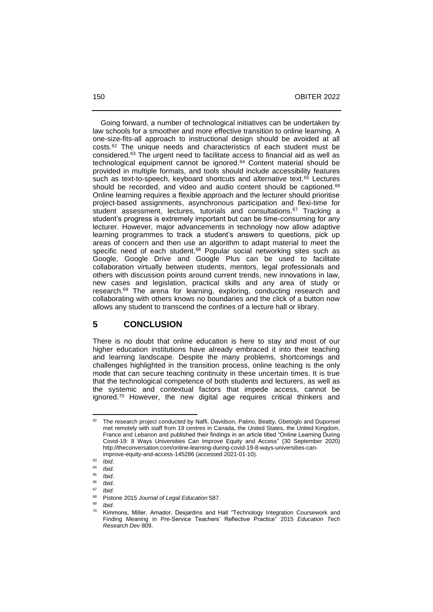Going forward, a number of technological initiatives can be undertaken by law schools for a smoother and more effective transition to online learning. A one-size-fits-all approach to instructional design should be avoided at all costs.<sup>62</sup> The unique needs and characteristics of each student must be considered.<sup>63</sup> The urgent need to facilitate access to financial aid as well as technological equipment cannot be ignored.<sup>64</sup> Content material should be provided in multiple formats, and tools should include accessibility features such as text-to-speech, keyboard shortcuts and alternative text.<sup>65</sup> Lectures should be recorded, and video and audio content should be captioned.<sup>66</sup> Online learning requires a flexible approach and the lecturer should prioritise project-based assignments, asynchronous participation and flexi-time for student assessment, lectures, tutorials and consultations.<sup>67</sup> Tracking a student's progress is extremely important but can be time-consuming for any lecturer. However, major advancements in technology now allow adaptive learning programmes to track a student's answers to questions, pick up areas of concern and then use an algorithm to adapt material to meet the specific need of each student.<sup>68</sup> Popular social networking sites such as Google, Google Drive and Google Plus can be used to facilitate collaboration virtually between students, mentors, legal professionals and others with discussion points around current trends, new innovations in law, new cases and legislation, practical skills and any area of study or research.<sup>69</sup> The arena for learning, exploring, conducting research and collaborating with others knows no boundaries and the click of a button now allows any student to transcend the confines of a lecture hall or library.

#### **5 CONCLUSION**

There is no doubt that online education is here to stay and most of our higher education institutions have already embraced it into their teaching and learning landscape. Despite the many problems, shortcomings and challenges highlighted in the transition process, online teaching is the only mode that can secure teaching continuity in these uncertain times. It is true that the technological competence of both students and lecturers, as well as the systemic and contextual factors that impede access, cannot be ignored.<sup>70</sup> However, the new digital age requires critical thinkers and

The research project conducted by Naffi, Davidson, Patino, Beatty, Gbetoglo and Duponsel met remotely with staff from 19 centres in Canada, the United States, the United Kingdom, France and Lebanon and published their findings in an article titled "Online Learning During Covid-19: 8 Ways Universities Can Improve Equity and Access" (30 September 2020) http://theconversation.com/online-learning-during-covid-19-8-ways-universities-canimprove-equity-and-access-145286 (accessed 2021-01-10).

<sup>63</sup> *Ibid*.

 $64$  *Ibid.*<br> $65$  *Ibid.* 

<sup>65</sup> *Ibid*.

<sup>66</sup> *Ibid*.

<sup>67</sup> *Ibid*.

<sup>68</sup> Pistone 2015 *Journal of Legal Education* 587.

<sup>69</sup> *Ibid*.

Kimmons, Miller, Amador, Desjardins and Hall "Technology Integration Coursework and Finding Meaning in Pre-Service Teachers' Reflective Practice" 2015 *Education Tech Research Dev* 809.